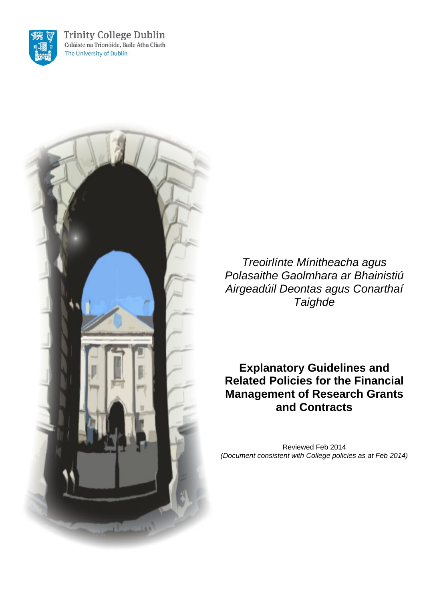

**Trinity College Dublin** Coláiste na Tríonóide, Baile Átha Cliath The University of Dublin



*Treoirlínte Mínitheacha agus Polasaithe Gaolmhara ar Bhainistiú Airgeadúil Deontas agus Conarthaí Taighde*

**Explanatory Guidelines and Related Policies for the Financial Management of Research Grants and Contracts**

Reviewed Feb 2014 *(Document consistent with College policies as at Feb 2014)*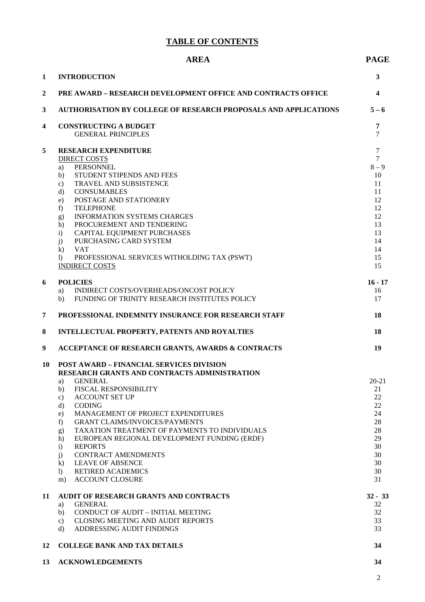# **TABLE OF CONTENTS**

|                         | <b>AREA</b>                                                                                                                                                                                                                                                                                                                                                                                                                                                                                                                                                                                                                                         | <b>PAGE</b>                                                                                    |
|-------------------------|-----------------------------------------------------------------------------------------------------------------------------------------------------------------------------------------------------------------------------------------------------------------------------------------------------------------------------------------------------------------------------------------------------------------------------------------------------------------------------------------------------------------------------------------------------------------------------------------------------------------------------------------------------|------------------------------------------------------------------------------------------------|
| 1                       | <b>INTRODUCTION</b>                                                                                                                                                                                                                                                                                                                                                                                                                                                                                                                                                                                                                                 | $\mathbf{3}$                                                                                   |
| $\boldsymbol{2}$        | <b>PRE AWARD – RESEARCH DEVELOPMENT OFFICE AND CONTRACTS OFFICE</b>                                                                                                                                                                                                                                                                                                                                                                                                                                                                                                                                                                                 | $\overline{\mathbf{4}}$                                                                        |
| 3                       | <b>AUTHORISATION BY COLLEGE OF RESEARCH PROPOSALS AND APPLICATIONS</b>                                                                                                                                                                                                                                                                                                                                                                                                                                                                                                                                                                              | $5 - 6$                                                                                        |
| $\overline{\mathbf{4}}$ | <b>CONSTRUCTING A BUDGET</b><br><b>GENERAL PRINCIPLES</b>                                                                                                                                                                                                                                                                                                                                                                                                                                                                                                                                                                                           | 7<br>$\tau$                                                                                    |
| 5                       | <b>RESEARCH EXPENDITURE</b><br><b>DIRECT COSTS</b><br><b>PERSONNEL</b><br>a)<br>STUDENT STIPENDS AND FEES<br>b)<br><b>TRAVEL AND SUBSISTENCE</b><br>c)<br><b>CONSUMABLES</b><br>d)<br>POSTAGE AND STATIONERY<br>e)<br><b>TELEPHONE</b><br>f<br><b>INFORMATION SYSTEMS CHARGES</b><br>g)<br>PROCUREMENT AND TENDERING<br>h)<br>CAPITAL EQUIPMENT PURCHASES<br>$\mathbf{i}$<br>PURCHASING CARD SYSTEM<br>$\mathbf{j}$ )<br><b>VAT</b><br>$\bf k)$<br>$\left( \right)$<br>PROFESSIONAL SERVICES WITHOLDING TAX (PSWT)<br><b>INDIRECT COSTS</b>                                                                                                         | 7<br>$\tau$<br>$8 - 9$<br>10<br>11<br>11<br>12<br>12<br>12<br>13<br>13<br>14<br>14<br>15<br>15 |
| 6                       | <b>POLICIES</b><br>INDIRECT COSTS/OVERHEADS/ONCOST POLICY<br>a)<br>FUNDING OF TRINITY RESEARCH INSTITUTES POLICY<br>b)                                                                                                                                                                                                                                                                                                                                                                                                                                                                                                                              | $16 - 17$<br>16<br>17                                                                          |
| 7                       | PROFESSIONAL INDEMNITY INSURANCE FOR RESEARCH STAFF                                                                                                                                                                                                                                                                                                                                                                                                                                                                                                                                                                                                 | 18                                                                                             |
| 8                       | <b>INTELLECTUAL PROPERTY, PATENTS AND ROYALTIES</b>                                                                                                                                                                                                                                                                                                                                                                                                                                                                                                                                                                                                 | 18                                                                                             |
| 9                       | <b>ACCEPTANCE OF RESEARCH GRANTS, AWARDS &amp; CONTRACTS</b>                                                                                                                                                                                                                                                                                                                                                                                                                                                                                                                                                                                        | 19                                                                                             |
| 10                      | <b>POST AWARD - FINANCIAL SERVICES DIVISION</b><br>RESEARCH GRANTS AND CONTRACTS ADMINISTRATION<br><b>GENERAL</b><br>a)<br><b>FISCAL RESPONSIBILITY</b><br>b)<br><b>ACCOUNT SET UP</b><br>$\mathbf{c})$<br><b>CODING</b><br>d)<br>MANAGEMENT OF PROJECT EXPENDITURES<br>e)<br><b>GRANT CLAIMS/INVOICES/PAYMENTS</b><br>f)<br>TAXATION TREATMENT OF PAYMENTS TO INDIVIDUALS<br>g)<br>EUROPEAN REGIONAL DEVELOPMENT FUNDING (ERDF)<br>h)<br>$\mathbf{i}$<br><b>REPORTS</b><br><b>CONTRACT AMENDMENTS</b><br>$\mathbf{j}$<br><b>LEAVE OF ABSENCE</b><br>$\bf k)$<br><b>RETIRED ACADEMICS</b><br>$\left  \right\rangle$<br><b>ACCOUNT CLOSURE</b><br>m) | $20 - 21$<br>21<br>22<br>22<br>24<br>28<br>28<br>29<br>30<br>30<br>30<br>30<br>31              |
| 11                      | <b>AUDIT OF RESEARCH GRANTS AND CONTRACTS</b><br><b>GENERAL</b><br>a)<br>CONDUCT OF AUDIT - INITIAL MEETING<br>b)<br><b>CLOSING MEETING AND AUDIT REPORTS</b><br>c)<br>ADDRESSING AUDIT FINDINGS<br>d)                                                                                                                                                                                                                                                                                                                                                                                                                                              | $32 - 33$<br>32<br>32<br>33<br>33                                                              |
| 12                      | <b>COLLEGE BANK AND TAX DETAILS</b>                                                                                                                                                                                                                                                                                                                                                                                                                                                                                                                                                                                                                 | 34                                                                                             |
| 13                      | <b>ACKNOWLEDGEMENTS</b>                                                                                                                                                                                                                                                                                                                                                                                                                                                                                                                                                                                                                             | 34                                                                                             |

2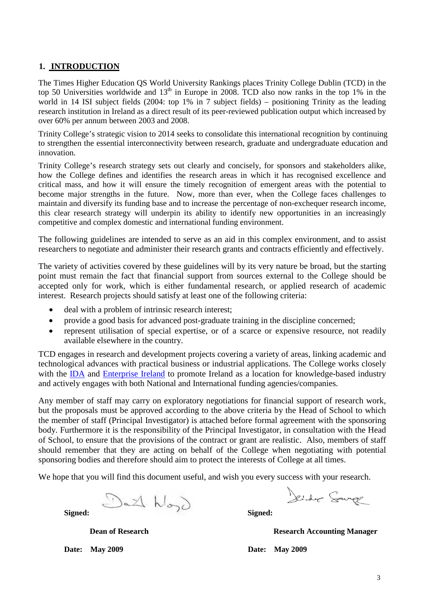#### **1. INTRODUCTION**

The Times Higher Education QS World University Rankings places Trinity College Dublin (TCD) in the top 50 Universities worldwide and  $13<sup>th</sup>$  in Europe in 2008. TCD also now ranks in the top 1% in the world in 14 ISI subject fields (2004: top 1% in 7 subject fields) – positioning Trinity as the leading research institution in Ireland as a direct result of its peer-reviewed publication output which increased by over 60% per annum between 2003 and 2008.

Trinity College's strategic vision to 2014 seeks to consolidate this international recognition by continuing to strengthen the essential interconnectivity between research, graduate and undergraduate education and innovation.

Trinity College's research strategy sets out clearly and concisely, for sponsors and stakeholders alike, how the College defines and identifies the research areas in which it has recognised excellence and critical mass, and how it will ensure the timely recognition of emergent areas with the potential to become major strengths in the future. Now, more than ever, when the College faces challenges to maintain and diversify its funding base and to increase the percentage of non-exchequer research income, this clear research strategy will underpin its ability to identify new opportunities in an increasingly competitive and complex domestic and international funding environment.

The following guidelines are intended to serve as an aid in this complex environment, and to assist researchers to negotiate and administer their research grants and contracts efficiently and effectively.

The variety of activities covered by these guidelines will by its very nature be broad, but the starting point must remain the fact that financial support from sources external to the College should be accepted only for work, which is either fundamental research, or applied research of academic interest. Research projects should satisfy at least one of the following criteria:

- deal with a problem of intrinsic research interest;
- provide a good basis for advanced post-graduate training in the discipline concerned;
- represent utilisation of special expertise, or of a scarce or expensive resource, not readily available elsewhere in the country.

TCD engages in research and development projects covering a variety of areas, linking academic and technological advances with practical business or industrial applications. The College works closely with the [IDA](http://www.idaireland.com/) and [Enterprise Ireland](http://www.enterprise-ireland.com/) to promote Ireland as a location for knowledge-based industry and actively engages with both National and International funding agencies/companies.

Any member of staff may carry on exploratory negotiations for financial support of research work, but the proposals must be approved according to the above criteria by the Head of School to which the member of staff (Principal Investigator) is attached before formal agreement with the sponsoring body. Furthermore it is the responsibility of the Principal Investigator, in consultation with the Head of School, to ensure that the provisions of the contract or grant are realistic. Also, members of staff should remember that they are acting on behalf of the College when negotiating with potential sponsoring bodies and therefore should aim to protect the interests of College at all times.

We hope that you will find this document useful, and wish you every success with your research.

Signed:  $\bigcup_{\alpha} \bigotimes_{\alpha} \bigwedge_{\alpha} \bigcup_{\alpha} \bigcup_{\beta}$ 

Jeider Sauge

**Dean of Research Accounting Manager** Research Accounting Manager

**Date: May 2009 Date: May 2009**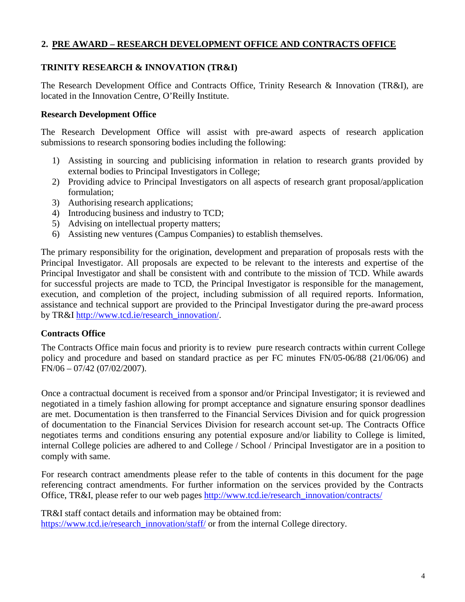## **2. PRE AWARD – RESEARCH DEVELOPMENT OFFICE AND CONTRACTS OFFICE**

## **TRINITY RESEARCH & INNOVATION (TR&I)**

The Research Development Office and Contracts Office, Trinity Research & Innovation (TR&I), are located in the Innovation Centre, O'Reilly Institute.

## **Research Development Office**

The Research Development Office will assist with pre-award aspects of research application submissions to research sponsoring bodies including the following:

- 1) Assisting in sourcing and publicising information in relation to research grants provided by external bodies to Principal Investigators in College;
- 2) Providing advice to Principal Investigators on all aspects of research grant proposal/application formulation;
- 3) Authorising research applications;
- 4) Introducing business and industry to TCD;
- 5) Advising on intellectual property matters;
- 6) Assisting new ventures (Campus Companies) to establish themselves.

The primary responsibility for the origination, development and preparation of proposals rests with the Principal Investigator. All proposals are expected to be relevant to the interests and expertise of the Principal Investigator and shall be consistent with and contribute to the mission of TCD. While awards for successful projects are made to TCD, the Principal Investigator is responsible for the management, execution, and completion of the project, including submission of all required reports. Information, assistance and technical support are provided to the Principal Investigator during the pre-award process by TR&I [http://www.tcd.ie/research\\_innovation/.](http://www.tcd.ie/research_innovation/)

## **Contracts Office**

The Contracts Office main focus and priority is to review pure research contracts within current College policy and procedure and based on standard practice as per FC minutes FN/05-06/88 (21/06/06) and FN/06 – 07/42 (07/02/2007).

Once a contractual document is received from a sponsor and/or Principal Investigator; it is reviewed and negotiated in a timely fashion allowing for prompt acceptance and signature ensuring sponsor deadlines are met. Documentation is then transferred to the Financial Services Division and for quick progression of documentation to the Financial Services Division for research account set-up. The Contracts Office negotiates terms and conditions ensuring any potential exposure and/or liability to College is limited, internal College policies are adhered to and College / School / Principal Investigator are in a position to comply with same.

For research contract amendments please refer to the table of contents in this document for the page referencing contract amendments. For further information on the services provided by the Contracts Office, TR&I, please refer to our web pages [http://www.tcd.ie/research\\_innovation/contracts/](http://www.tcd.ie/research_innovation/contracts/)

TR&I staff contact details and information may be obtained from: [https://www.tcd.ie/research\\_innovation/staff/](https://www.tcd.ie/research_innovation/staff/) or from the internal College directory.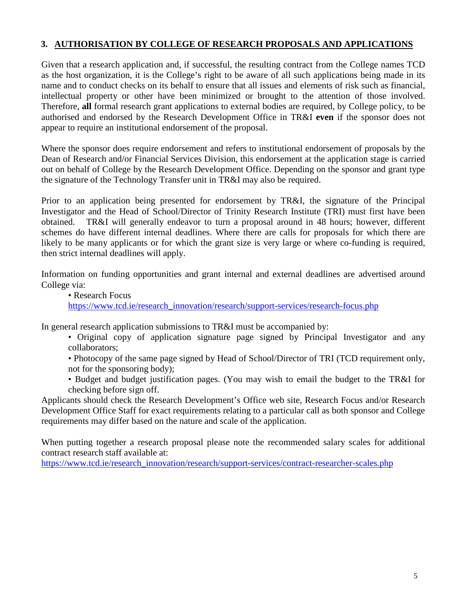## **3. AUTHORISATION BY COLLEGE OF RESEARCH PROPOSALS AND APPLICATIONS**

Given that a research application and, if successful, the resulting contract from the College names TCD as the host organization, it is the College's right to be aware of all such applications being made in its name and to conduct checks on its behalf to ensure that all issues and elements of risk such as financial, intellectual property or other have been minimized or brought to the attention of those involved. Therefore, **all** formal research grant applications to external bodies are required, by College policy, to be authorised and endorsed by the Research Development Office in TR&I **even** if the sponsor does not appear to require an institutional endorsement of the proposal.

Where the sponsor does require endorsement and refers to institutional endorsement of proposals by the Dean of Research and/or Financial Services Division, this endorsement at the application stage is carried out on behalf of College by the Research Development Office. Depending on the sponsor and grant type the signature of the Technology Transfer unit in TR&I may also be required.

Prior to an application being presented for endorsement by TR&I, the signature of the Principal Investigator and the Head of School/Director of Trinity Research Institute (TRI) must first have been obtained. TR&I will generally endeavor to turn a proposal around in 48 hours; however, different schemes do have different internal deadlines. Where there are calls for proposals for which there are likely to be many applicants or for which the grant size is very large or where co-funding is required, then strict internal deadlines will apply.

Information on funding opportunities and grant internal and external deadlines are advertised around College via:

• Research Focus [https://www.tcd.ie/research\\_innovation/research/support-services/research-focus.php](https://www.tcd.ie/research_innovation/research/support-services/research-focus.php)

In general research application submissions to TR&I must be accompanied by:

• Original copy of application signature page signed by Principal Investigator and any collaborators;

• Photocopy of the same page signed by Head of School/Director of TRI (TCD requirement only, not for the sponsoring body);

• Budget and budget justification pages. (You may wish to email the budget to the TR&I for checking before sign off.

Applicants should check the Research Development's Office web site, Research Focus and/or Research Development Office Staff for exact requirements relating to a particular call as both sponsor and College requirements may differ based on the nature and scale of the application.

When putting together a research proposal please note the recommended salary scales for additional contract research staff available at:

[https://www.tcd.ie/research\\_innovation/research/support-services/contract-researcher-scales.php](https://www.tcd.ie/research_innovation/research/support-services/contract-researcher-scales.php)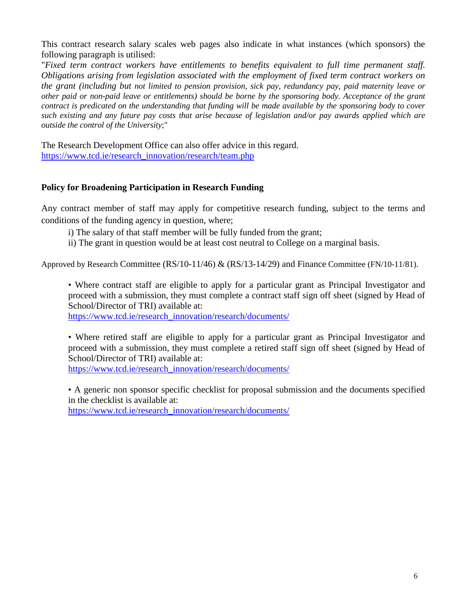This contract research salary scales web pages also indicate in what instances (which sponsors) the following paragraph is utilised:

"*Fixed term contract workers have entitlements to benefits equivalent to full time permanent staff. Obligations arising from legislation associated with the employment of fixed term contract workers on the grant (including but not limited to pension provision, sick pay, redundancy pay, paid maternity leave or other paid or non-paid leave or entitlements) should be borne by the sponsoring body. Acceptance of the grant contract is predicated on the understanding that funding will be made available by the sponsoring body to cover such existing and any future pay costs that arise because of legislation and/or pay awards applied which are outside the control of the University*;"

The Research Development Office can also offer advice in this regard. [https://www.tcd.ie/research\\_innovation/research/team.php](https://www.tcd.ie/research_innovation/research/team.php)

## **Policy for Broadening Participation in Research Funding**

Any contract member of staff may apply for competitive research funding, subject to the terms and conditions of the funding agency in question, where;

i) The salary of that staff member will be fully funded from the grant;

ii) The grant in question would be at least cost neutral to College on a marginal basis.

Approved by Research Committee (RS/10-11/46) & (RS/13-14/29) and Finance Committee (FN/10-11/81).

• Where contract staff are eligible to apply for a particular grant as Principal Investigator and proceed with a submission, they must complete a contract staff sign off sheet (signed by Head of School/Director of TRI) available at:

[https://www.tcd.ie/research\\_innovation/research/documents/](https://www.tcd.ie/research_innovation/research/documents/)

• Where retired staff are eligible to apply for a particular grant as Principal Investigator and proceed with a submission, they must complete a retired staff sign off sheet (signed by Head of School/Director of TRI) available at:

[https://www.tcd.ie/research\\_innovation/research/documents/](https://www.tcd.ie/research_innovation/research/documents/)

• A generic non sponsor specific checklist for proposal submission and the documents specified in the checklist is available at:

[https://www.tcd.ie/research\\_innovation/research/documents/](https://www.tcd.ie/research_innovation/research/documents/)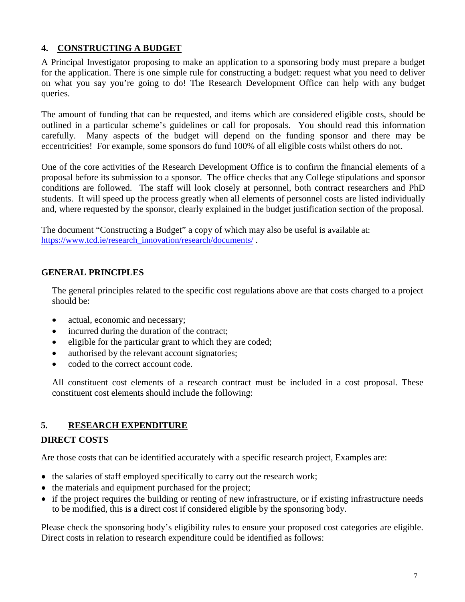## **4. CONSTRUCTING A BUDGET**

A Principal Investigator proposing to make an application to a sponsoring body must prepare a budget for the application. There is one simple rule for constructing a budget: request what you need to deliver on what you say you're going to do! The Research Development Office can help with any budget queries.

The amount of funding that can be requested, and items which are considered eligible costs, should be outlined in a particular scheme's guidelines or call for proposals. You should read this information carefully. Many aspects of the budget will depend on the funding sponsor and there may be eccentricities! For example, some sponsors do fund 100% of all eligible costs whilst others do not.

One of the core activities of the Research Development Office is to confirm the financial elements of a proposal before its submission to a sponsor. The office checks that any College stipulations and sponsor conditions are followed. The staff will look closely at personnel, both contract researchers and PhD students. It will speed up the process greatly when all elements of personnel costs are listed individually and, where requested by the sponsor, clearly explained in the budget justification section of the proposal.

The document "Constructing a Budget" a copy of which may also be useful is available at: [https://www.tcd.ie/research\\_innovation/research/documents/](https://www.tcd.ie/research_innovation/research/documents/) .

#### **GENERAL PRINCIPLES**

The general principles related to the specific cost regulations above are that costs charged to a project should be:

- actual, economic and necessary;
- incurred during the duration of the contract;
- eligible for the particular grant to which they are coded;
- authorised by the relevant account signatories;
- coded to the correct account code.

All constituent cost elements of a research contract must be included in a cost proposal. These constituent cost elements should include the following:

## **5. RESEARCH EXPENDITURE**

#### **DIRECT COSTS**

Are those costs that can be identified accurately with a specific research project, Examples are:

- the salaries of staff employed specifically to carry out the research work;
- the materials and equipment purchased for the project;
- if the project requires the building or renting of new infrastructure, or if existing infrastructure needs to be modified, this is a direct cost if considered eligible by the sponsoring body.

Please check the sponsoring body's eligibility rules to ensure your proposed cost categories are eligible. Direct costs in relation to research expenditure could be identified as follows: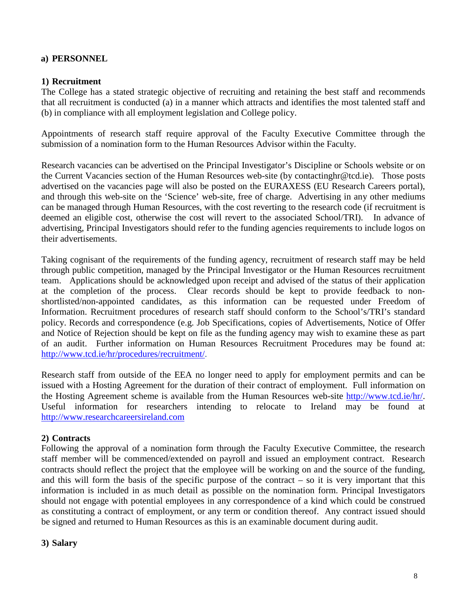#### **a) PERSONNEL**

#### **1) Recruitment**

The College has a stated strategic objective of recruiting and retaining the best staff and recommends that all recruitment is conducted (a) in a manner which attracts and identifies the most talented staff and (b) in compliance with all employment legislation and College policy.

Appointments of research staff require approval of the Faculty Executive Committee through the submission of a nomination form to the Human Resources Advisor within the Faculty.

Research vacancies can be advertised on the Principal Investigator's Discipline or Schools website or on the Current Vacancies section of the Human Resources web-site (by contactinghr@tcd.ie). Those posts advertised on the vacancies page will also be posted on the EURAXESS (EU Research Careers portal), and through this web-site on the 'Science' web-site, free of charge. Advertising in any other mediums can be managed through Human Resources, with the cost reverting to the research code (if recruitment is deemed an eligible cost, otherwise the cost will revert to the associated School/TRI). In advance of advertising, Principal Investigators should refer to the funding agencies requirements to include logos on their advertisements.

Taking cognisant of the requirements of the funding agency, recruitment of research staff may be held through public competition, managed by the Principal Investigator or the Human Resources recruitment team. Applications should be acknowledged upon receipt and advised of the status of their application at the completion of the process. Clear records should be kept to provide feedback to nonshortlisted/non-appointed candidates, as this information can be requested under Freedom of Information. Recruitment procedures of research staff should conform to the School's/TRI's standard policy. Records and correspondence (e.g. Job Specifications, copies of Advertisements, Notice of Offer and Notice of Rejection should be kept on file as the funding agency may wish to examine these as part of an audit. Further information on Human Resources Recruitment Procedures may be found at: [http://www.tcd.ie/hr/procedures/recruitment/.](http://www.tcd.ie/hr/procedures/recruitment/)

Research staff from outside of the EEA no longer need to apply for employment permits and can be issued with a Hosting Agreement for the duration of their contract of employment. Full information on the Hosting Agreement scheme is available from the Human Resources web-site [http://www.tcd.ie/hr/.](http://www.tcd.ie/hr/) Useful information for researchers intending to relocate to Ireland may be found at [http://www.researchcareersireland.com](http://www.researchcareersireland.com/)

## **2) Contracts**

Following the approval of a nomination form through the Faculty Executive Committee, the research staff member will be commenced/extended on payroll and issued an employment contract. Research contracts should reflect the project that the employee will be working on and the source of the funding, and this will form the basis of the specific purpose of the contract – so it is very important that this information is included in as much detail as possible on the nomination form. Principal Investigators should not engage with potential employees in any correspondence of a kind which could be construed as constituting a contract of employment, or any term or condition thereof. Any contract issued should be signed and returned to Human Resources as this is an examinable document during audit.

#### **3) Salary**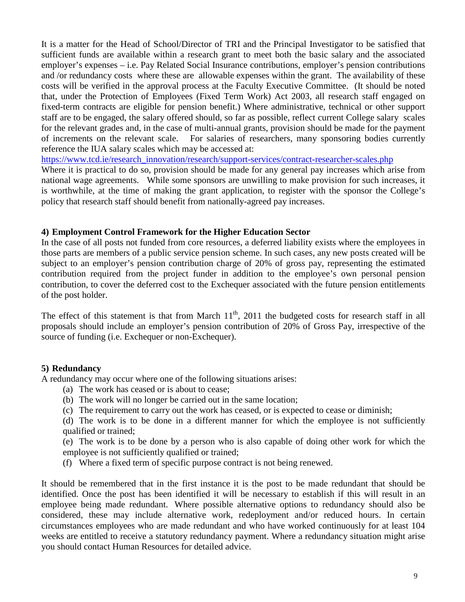It is a matter for the Head of School/Director of TRI and the Principal Investigator to be satisfied that sufficient funds are available within a research grant to meet both the basic salary and the associated employer's expenses – i.e. Pay Related Social Insurance contributions, employer's pension contributions and /or redundancy costs where these are allowable expenses within the grant. The availability of these costs will be verified in the approval process at the Faculty Executive Committee. (It should be noted that, under the Protection of Employees (Fixed Term Work) Act 2003, all research staff engaged on fixed-term contracts are eligible for pension benefit.) Where administrative, technical or other support staff are to be engaged, the salary offered should, so far as possible, reflect current College salary scales for the relevant grades and, in the case of multi-annual grants, provision should be made for the payment of increments on the relevant scale. For salaries of researchers, many sponsoring bodies currently reference the IUA salary scales which may be accessed at:

[https://www.tcd.ie/research\\_innovation/research/support-services/contract-researcher-scales.php](https://www.tcd.ie/research_innovation/research/support-services/contract-researcher-scales.php)

Where it is practical to do so, provision should be made for any general pay increases which arise from national wage agreements. While some sponsors are unwilling to make provision for such increases, it is worthwhile, at the time of making the grant application, to register with the sponsor the College's policy that research staff should benefit from nationally-agreed pay increases.

#### **4) Employment Control Framework for the Higher Education Sector**

In the case of all posts not funded from core resources, a deferred liability exists where the employees in those parts are members of a public service pension scheme. In such cases, any new posts created will be subject to an employer's pension contribution charge of 20% of gross pay, representing the estimated contribution required from the project funder in addition to the employee's own personal pension contribution, to cover the deferred cost to the Exchequer associated with the future pension entitlements of the post holder.

The effect of this statement is that from March  $11<sup>th</sup>$ , 2011 the budgeted costs for research staff in all proposals should include an employer's pension contribution of 20% of Gross Pay, irrespective of the source of funding (i.e. Exchequer or non-Exchequer).

## **5) Redundancy**

A redundancy may occur where one of the following situations arises:

- (a) The work has ceased or is about to cease;
- (b) The work will no longer be carried out in the same location;
- (c) The requirement to carry out the work has ceased, or is expected to cease or diminish;

(d) The work is to be done in a different manner for which the employee is not sufficiently qualified or trained;

(e) The work is to be done by a person who is also capable of doing other work for which the employee is not sufficiently qualified or trained;

(f) Where a fixed term of specific purpose contract is not being renewed.

It should be remembered that in the first instance it is the post to be made redundant that should be identified. Once the post has been identified it will be necessary to establish if this will result in an employee being made redundant. Where possible alternative options to redundancy should also be considered, these may include alternative work, redeployment and/or reduced hours. In certain circumstances employees who are made redundant and who have worked continuously for at least 104 weeks are entitled to receive a statutory redundancy payment. Where a redundancy situation might arise you should contact Human Resources for detailed advice.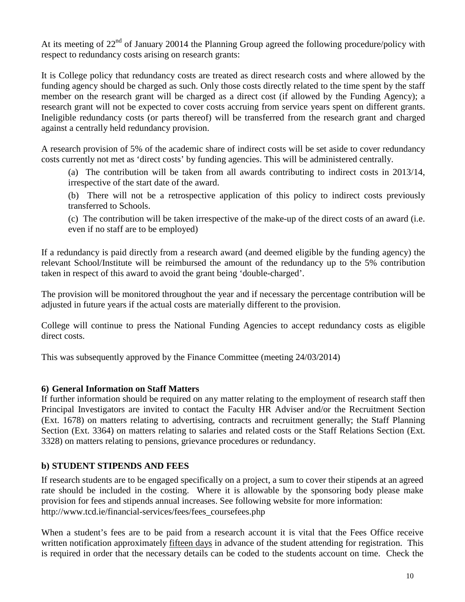At its meeting of  $22<sup>nd</sup>$  of January 20014 the Planning Group agreed the following procedure/policy with respect to redundancy costs arising on research grants:

It is College policy that redundancy costs are treated as direct research costs and where allowed by the funding agency should be charged as such. Only those costs directly related to the time spent by the staff member on the research grant will be charged as a direct cost (if allowed by the Funding Agency); a research grant will not be expected to cover costs accruing from service years spent on different grants. Ineligible redundancy costs (or parts thereof) will be transferred from the research grant and charged against a centrally held redundancy provision.

A research provision of 5% of the academic share of indirect costs will be set aside to cover redundancy costs currently not met as 'direct costs' by funding agencies. This will be administered centrally.

(a) The contribution will be taken from all awards contributing to indirect costs in 2013/14, irrespective of the start date of the award.

(b) There will not be a retrospective application of this policy to indirect costs previously transferred to Schools.

(c) The contribution will be taken irrespective of the make-up of the direct costs of an award (i.e. even if no staff are to be employed)

If a redundancy is paid directly from a research award (and deemed eligible by the funding agency) the relevant School/Institute will be reimbursed the amount of the redundancy up to the 5% contribution taken in respect of this award to avoid the grant being 'double-charged'.

The provision will be monitored throughout the year and if necessary the percentage contribution will be adjusted in future years if the actual costs are materially different to the provision.

College will continue to press the National Funding Agencies to accept redundancy costs as eligible direct costs.

This was subsequently approved by the Finance Committee (meeting 24/03/2014)

## **6) General Information on Staff Matters**

If further information should be required on any matter relating to the employment of research staff then Principal Investigators are invited to contact the Faculty HR Adviser and/or the Recruitment Section (Ext. 1678) on matters relating to advertising, contracts and recruitment generally; the Staff Planning Section (Ext. 3364) on matters relating to salaries and related costs or the Staff Relations Section (Ext. 3328) on matters relating to pensions, grievance procedures or redundancy.

## **b) STUDENT STIPENDS AND FEES**

If research students are to be engaged specifically on a project, a sum to cover their stipends at an agreed rate should be included in the costing. Where it is allowable by the sponsoring body please make provision for fees and stipends annual increases. See following website for more information: http://www.tcd.ie/financial-services/fees/fees\_coursefees.php

When a student's fees are to be paid from a research account it is vital that the Fees Office receive written notification approximately fifteen days in advance of the student attending for registration. This is required in order that the necessary details can be coded to the students account on time. Check the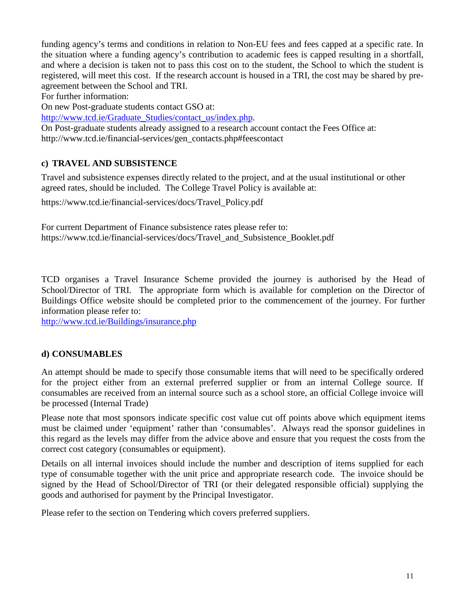funding agency's terms and conditions in relation to Non-EU fees and fees capped at a specific rate. In the situation where a funding agency's contribution to academic fees is capped resulting in a shortfall, and where a decision is taken not to pass this cost on to the student, the School to which the student is registered, will meet this cost. If the research account is housed in a TRI, the cost may be shared by preagreement between the School and TRI.

For further information:

On new Post-graduate students contact GSO at:

[http://www.tcd.ie/Graduate\\_Studies/contact\\_us/index.php.](http://www.tcd.ie/Graduate_Studies/contact_us/index.php)

On Post-graduate students already assigned to a research account contact the Fees Office at: http://www.tcd.ie/financial-services/gen\_contacts.php#feescontact

## **c) TRAVEL AND SUBSISTENCE**

Travel and subsistence expenses directly related to the project, and at the usual institutional or other agreed rates, should be included. The College Travel Policy is available at:

https://www.tcd.ie/financial-services/docs/Travel\_Policy.pdf

For current Department of Finance subsistence rates please refer to: https://www.tcd.ie/financial-services/docs/Travel\_and\_Subsistence\_Booklet.pdf

TCD organises a Travel Insurance Scheme provided the journey is authorised by the Head of School/Director of TRI. The appropriate form which is available for completion on the Director of Buildings Office website should be completed prior to the commencement of the journey. For further information please refer to:

<http://www.tcd.ie/Buildings/insurance.php>

## **d) CONSUMABLES**

An attempt should be made to specify those consumable items that will need to be specifically ordered for the project either from an external preferred supplier or from an internal College source. If consumables are received from an internal source such as a school store, an official College invoice will be processed (Internal Trade)

Please note that most sponsors indicate specific cost value cut off points above which equipment items must be claimed under 'equipment' rather than 'consumables'. Always read the sponsor guidelines in this regard as the levels may differ from the advice above and ensure that you request the costs from the correct cost category (consumables or equipment).

Details on all internal invoices should include the number and description of items supplied for each type of consumable together with the unit price and appropriate research code. The invoice should be signed by the Head of School/Director of TRI (or their delegated responsible official) supplying the goods and authorised for payment by the Principal Investigator.

Please refer to the section on Tendering which covers preferred suppliers.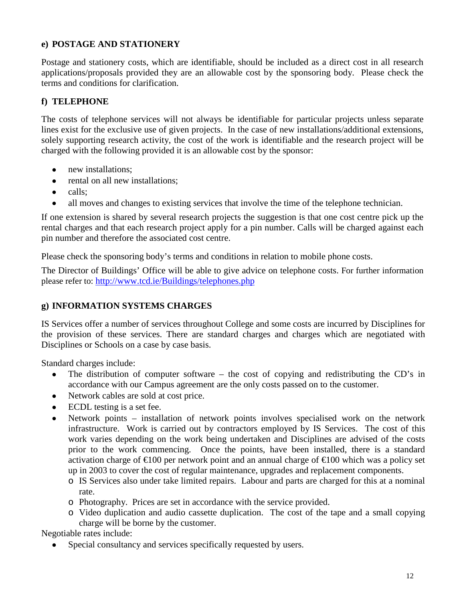## **e) POSTAGE AND STATIONERY**

Postage and stationery costs, which are identifiable, should be included as a direct cost in all research applications/proposals provided they are an allowable cost by the sponsoring body. Please check the terms and conditions for clarification.

## **f) TELEPHONE**

The costs of telephone services will not always be identifiable for particular projects unless separate lines exist for the exclusive use of given projects. In the case of new installations/additional extensions, solely supporting research activity, the cost of the work is identifiable and the research project will be charged with the following provided it is an allowable cost by the sponsor:

- new installations;
- rental on all new installations:
- calls:
- all moves and changes to existing services that involve the time of the telephone technician.

If one extension is shared by several research projects the suggestion is that one cost centre pick up the rental charges and that each research project apply for a pin number. Calls will be charged against each pin number and therefore the associated cost centre.

Please check the sponsoring body's terms and conditions in relation to mobile phone costs.

The Director of Buildings' Office will be able to give advice on telephone costs. For further information please refer to: <http://www.tcd.ie/Buildings/telephones.php>

#### **g) INFORMATION SYSTEMS CHARGES**

IS Services offer a number of services throughout College and some costs are incurred by Disciplines for the provision of these services. There are standard charges and charges which are negotiated with Disciplines or Schools on a case by case basis.

Standard charges include:

- The distribution of computer software the cost of copying and redistributing the CD's in accordance with our Campus agreement are the only costs passed on to the customer.
- Network cables are sold at cost price.
- ECDL testing is a set fee.
- Network points installation of network points involves specialised work on the network infrastructure. Work is carried out by contractors employed by IS Services. The cost of this work varies depending on the work being undertaken and Disciplines are advised of the costs prior to the work commencing. Once the points, have been installed, there is a standard activation charge of €100 per network point and an annual charge of €100 which was a policy set up in 2003 to cover the cost of regular maintenance, upgrades and replacement components.
	- o IS Services also under take limited repairs. Labour and parts are charged for this at a nominal rate.
	- o Photography. Prices are set in accordance with the service provided.
	- o Video duplication and audio cassette duplication. The cost of the tape and a small copying charge will be borne by the customer.

Negotiable rates include:

Special consultancy and services specifically requested by users.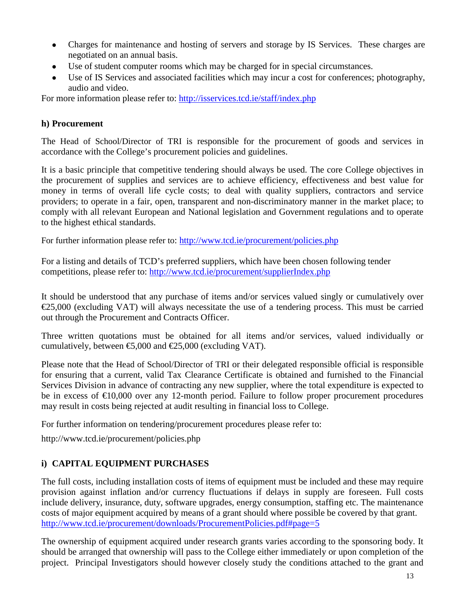- Charges for maintenance and hosting of servers and storage by IS Services. These charges are negotiated on an annual basis.
- Use of student computer rooms which may be charged for in special circumstances.
- Use of IS Services and associated facilities which may incur a cost for conferences; photography, audio and video.

For more information please refer to: <http://isservices.tcd.ie/staff/index.php>

## **h) Procurement**

The Head of School/Director of TRI is responsible for the procurement of goods and services in accordance with the College's procurement policies and guidelines.

It is a basic principle that competitive tendering should always be used. The core College objectives in the procurement of supplies and services are to achieve efficiency, effectiveness and best value for money in terms of overall life cycle costs; to deal with quality suppliers, contractors and service providers; to operate in a fair, open, transparent and non-discriminatory manner in the market place; to comply with all relevant European and National legislation and Government regulations and to operate to the highest ethical standards.

For further information please refer to: <http://www.tcd.ie/procurement/policies.php>

For a listing and details of TCD's preferred suppliers, which have been chosen following tender competitions, please refer to: <http://www.tcd.ie/procurement/supplierIndex.php>

It should be understood that any purchase of items and/or services valued singly or cumulatively over €25,000 (excluding VAT) will always necessitate the use of a tendering process. This must be carried out through the Procurement and Contracts Officer.

Three written quotations must be obtained for all items and/or services, valued individually or cumulatively, between  $\epsilon$ 5,000 and  $\epsilon$ 25,000 (excluding VAT).

Please note that the Head of School/Director of TRI or their delegated responsible official is responsible for ensuring that a current, valid Tax Clearance Certificate is obtained and furnished to the Financial Services Division in advance of contracting any new supplier, where the total expenditure is expected to be in excess of €10,000 over any 12-month period. Failure to follow proper procurement procedures may result in costs being rejected at audit resulting in financial loss to College.

For further information on tendering/procurement procedures please refer to:

http://www.tcd.ie/procurement/policies.php

# **i) CAPITAL EQUIPMENT PURCHASES**

The full costs, including installation costs of items of equipment must be included and these may require provision against inflation and/or currency fluctuations if delays in supply are foreseen. Full costs include delivery, insurance, duty, software upgrades, energy consumption, staffing etc. The maintenance costs of major equipment acquired by means of a grant should where possible be covered by that grant. <http://www.tcd.ie/procurement/downloads/ProcurementPolicies.pdf#page=5>

The ownership of equipment acquired under research grants varies according to the sponsoring body. It should be arranged that ownership will pass to the College either immediately or upon completion of the project. Principal Investigators should however closely study the conditions attached to the grant and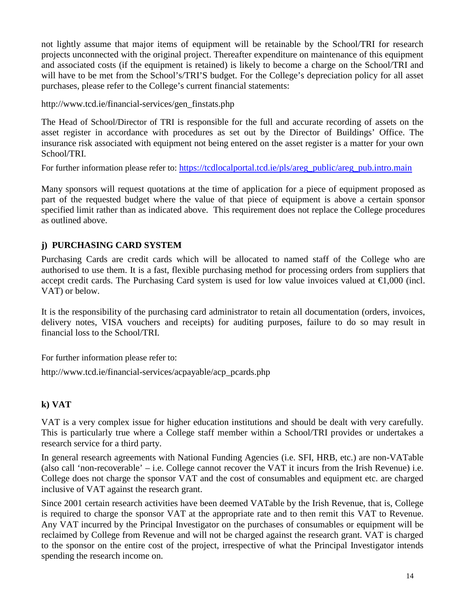not lightly assume that major items of equipment will be retainable by the School/TRI for research projects unconnected with the original project. Thereafter expenditure on maintenance of this equipment and associated costs (if the equipment is retained) is likely to become a charge on the School/TRI and will have to be met from the School's/TRI'S budget. For the College's depreciation policy for all asset purchases, please refer to the College's current financial statements:

http://www.tcd.ie/financial-services/gen\_finstats.php

The Head of School/Director of TRI is responsible for the full and accurate recording of assets on the asset register in accordance with procedures as set out by the Director of Buildings' Office. The insurance risk associated with equipment not being entered on the asset register is a matter for your own School/TRI.

For further information please refer to: https://tcdlocalportal.tcd.ie/pls/areg\_public/areg\_pub.intro.main

Many sponsors will request quotations at the time of application for a piece of equipment proposed as part of the requested budget where the value of that piece of equipment is above a certain sponsor specified limit rather than as indicated above. This requirement does not replace the College procedures as outlined above.

# **j) PURCHASING CARD SYSTEM**

Purchasing Cards are credit cards which will be allocated to named staff of the College who are authorised to use them. It is a fast, flexible purchasing method for processing orders from suppliers that accept credit cards. The Purchasing Card system is used for low value invoices valued at  $\in$ 1,000 (incl.) VAT) or below.

It is the responsibility of the purchasing card administrator to retain all documentation (orders, invoices, delivery notes, VISA vouchers and receipts) for auditing purposes, failure to do so may result in financial loss to the School/TRI.

For further information please refer to:

http://www.tcd.ie/financial-services/acpayable/acp\_pcards.php

# **k) VAT**

VAT is a very complex issue for higher education institutions and should be dealt with very carefully. This is particularly true where a College staff member within a School/TRI provides or undertakes a research service for a third party.

In general research agreements with National Funding Agencies (i.e. SFI, HRB, etc.) are non-VATable (also call 'non-recoverable' – i.e. College cannot recover the VAT it incurs from the Irish Revenue) i.e. College does not charge the sponsor VAT and the cost of consumables and equipment etc. are charged inclusive of VAT against the research grant.

Since 2001 certain research activities have been deemed VATable by the Irish Revenue, that is, College is required to charge the sponsor VAT at the appropriate rate and to then remit this VAT to Revenue. Any VAT incurred by the Principal Investigator on the purchases of consumables or equipment will be reclaimed by College from Revenue and will not be charged against the research grant. VAT is charged to the sponsor on the entire cost of the project, irrespective of what the Principal Investigator intends spending the research income on.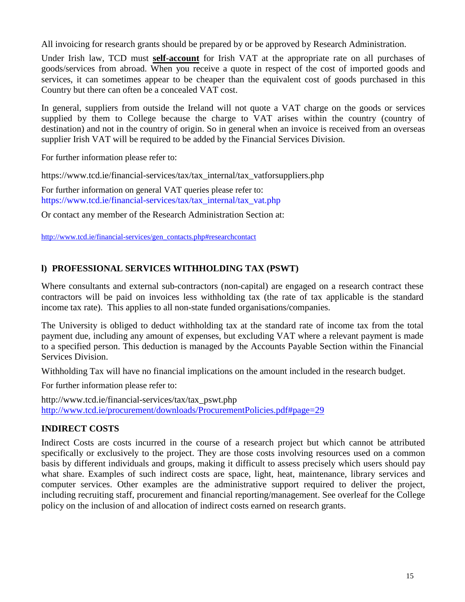All invoicing for research grants should be prepared by or be approved by Research Administration.

Under Irish law, TCD must **self-account** for Irish VAT at the appropriate rate on all purchases of goods/services from abroad. When you receive a quote in respect of the cost of imported goods and services, it can sometimes appear to be cheaper than the equivalent cost of goods purchased in this Country but there can often be a concealed VAT cost.

In general, suppliers from outside the Ireland will not quote a VAT charge on the goods or services supplied by them to College because the charge to VAT arises within the country (country of destination) and not in the country of origin. So in general when an invoice is received from an overseas supplier Irish VAT will be required to be added by the Financial Services Division.

For further information please refer to:

https://www.tcd.ie/financial-services/tax/tax\_internal/tax\_vatforsuppliers.php

For further information on general VAT queries please refer to: https://www.tcd.ie/financial-services/tax/tax\_internal/tax\_vat.php

Or contact any member of the Research Administration Section at:

http://www.tcd.ie/financial-services/gen\_contacts.php#researchcontact

#### **l) PROFESSIONAL SERVICES WITHHOLDING TAX (PSWT)**

Where consultants and external sub-contractors (non-capital) are engaged on a research contract these contractors will be paid on invoices less withholding tax (the rate of tax applicable is the standard income tax rate). This applies to all non-state funded organisations/companies.

The University is obliged to deduct withholding tax at the standard rate of income tax from the total payment due, including any amount of expenses, but excluding VAT where a relevant payment is made to a specified person. This deduction is managed by the Accounts Payable Section within the Financial Services Division.

Withholding Tax will have no financial implications on the amount included in the research budget.

For further information please refer to:

http://www.tcd.ie/financial-services/tax/tax\_pswt.php <http://www.tcd.ie/procurement/downloads/ProcurementPolicies.pdf#page=29>

## **INDIRECT COSTS**

Indirect Costs are costs incurred in the course of a research project but which cannot be attributed specifically or exclusively to the project. They are those costs involving resources used on a common basis by different individuals and groups, making it difficult to assess precisely which users should pay what share. Examples of such indirect costs are space, light, heat, maintenance, library services and computer services. Other examples are the administrative support required to deliver the project, including recruiting staff, procurement and financial reporting/management. See overleaf for the College policy on the inclusion of and allocation of indirect costs earned on research grants.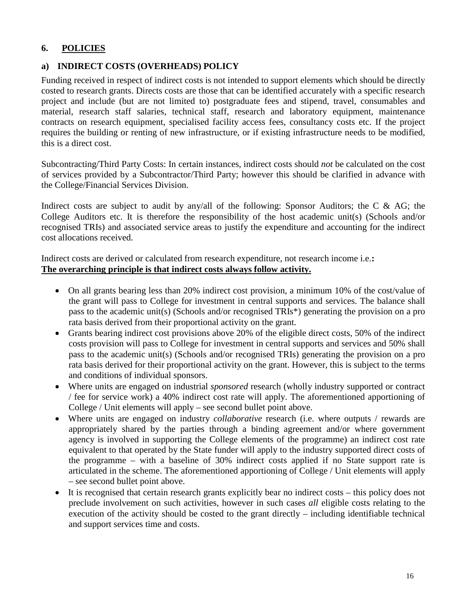## **6. POLICIES**

#### **a) INDIRECT COSTS (OVERHEADS) POLICY**

Funding received in respect of indirect costs is not intended to support elements which should be directly costed to research grants. Directs costs are those that can be identified accurately with a specific research project and include (but are not limited to) postgraduate fees and stipend, travel, consumables and material, research staff salaries, technical staff, research and laboratory equipment, maintenance contracts on research equipment, specialised facility access fees, consultancy costs etc. If the project requires the building or renting of new infrastructure, or if existing infrastructure needs to be modified, this is a direct cost.

Subcontracting/Third Party Costs: In certain instances, indirect costs should *not* be calculated on the cost of services provided by a Subcontractor/Third Party; however this should be clarified in advance with the College/Financial Services Division.

Indirect costs are subject to audit by any/all of the following: Sponsor Auditors; the C & AG; the College Auditors etc. It is therefore the responsibility of the host academic unit(s) (Schools and/or recognised TRIs) and associated service areas to justify the expenditure and accounting for the indirect cost allocations received.

Indirect costs are derived or calculated from research expenditure, not research income i.e.**: The overarching principle is that indirect costs always follow activity.**

- On all grants bearing less than 20% indirect cost provision, a minimum 10% of the cost/value of the grant will pass to College for investment in central supports and services. The balance shall pass to the academic unit(s) (Schools and/or recognised TRIs\*) generating the provision on a pro rata basis derived from their proportional activity on the grant.
- Grants bearing indirect cost provisions above 20% of the eligible direct costs, 50% of the indirect costs provision will pass to College for investment in central supports and services and 50% shall pass to the academic unit(s) (Schools and/or recognised TRIs) generating the provision on a pro rata basis derived for their proportional activity on the grant. However, this is subject to the terms and conditions of individual sponsors.
- Where units are engaged on industrial *sponsored* research (wholly industry supported or contract / fee for service work) a 40% indirect cost rate will apply. The aforementioned apportioning of College / Unit elements will apply – see second bullet point above.
- Where units are engaged on industry *collaborative* research (i.e. where outputs / rewards are appropriately shared by the parties through a binding agreement and/or where government agency is involved in supporting the College elements of the programme) an indirect cost rate equivalent to that operated by the State funder will apply to the industry supported direct costs of the programme – with a baseline of 30% indirect costs applied if no State support rate is articulated in the scheme. The aforementioned apportioning of College / Unit elements will apply – see second bullet point above.
- It is recognised that certain research grants explicitly bear no indirect costs this policy does not preclude involvement on such activities, however in such cases *all* eligible costs relating to the execution of the activity should be costed to the grant directly – including identifiable technical and support services time and costs.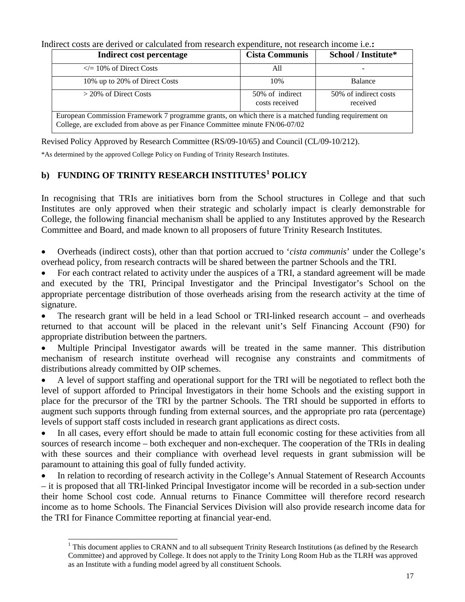Indirect costs are derived or calculated from research expenditure, not research income i.e.

| Indirect cost percentage                                                                                                                                                             | <b>Cista Communis</b>             | School / Institute*               |
|--------------------------------------------------------------------------------------------------------------------------------------------------------------------------------------|-----------------------------------|-----------------------------------|
| $\le$ = 10% of Direct Costs                                                                                                                                                          | All                               |                                   |
| 10% up to 20% of Direct Costs                                                                                                                                                        | 10%                               | <b>Balance</b>                    |
| $>$ 20% of Direct Costs                                                                                                                                                              | 50% of indirect<br>costs received | 50% of indirect costs<br>received |
| European Commission Framework 7 programme grants, on which there is a matched funding requirement on<br>College, are excluded from above as per Finance Committee minute FN/06-07/02 |                                   |                                   |

Revised Policy Approved by Research Committee (RS/09-10/65) and Council (CL/09-10/212).

\*As determined by the approved College Policy on Funding of Trinity Research Institutes.

# **b) FUNDING OF TRINITY RESEARCH INSTITUTES[1](#page-16-0) POLICY**

In recognising that TRIs are initiatives born from the School structures in College and that such Institutes are only approved when their strategic and scholarly impact is clearly demonstrable for College, the following financial mechanism shall be applied to any Institutes approved by the Research Committee and Board, and made known to all proposers of future Trinity Research Institutes.

• Overheads (indirect costs), other than that portion accrued to '*cista communis*' under the College's overhead policy, from research contracts will be shared between the partner Schools and the TRI.

• For each contract related to activity under the auspices of a TRI, a standard agreement will be made and executed by the TRI, Principal Investigator and the Principal Investigator's School on the appropriate percentage distribution of those overheads arising from the research activity at the time of signature.

• The research grant will be held in a lead School or TRI-linked research account – and overheads returned to that account will be placed in the relevant unit's Self Financing Account (F90) for appropriate distribution between the partners.

• Multiple Principal Investigator awards will be treated in the same manner. This distribution mechanism of research institute overhead will recognise any constraints and commitments of distributions already committed by OIP schemes.

• A level of support staffing and operational support for the TRI will be negotiated to reflect both the level of support afforded to Principal Investigators in their home Schools and the existing support in place for the precursor of the TRI by the partner Schools. The TRI should be supported in efforts to augment such supports through funding from external sources, and the appropriate pro rata (percentage) levels of support staff costs included in research grant applications as direct costs.

In all cases, every effort should be made to attain full economic costing for these activities from all sources of research income – both exchequer and non-exchequer. The cooperation of the TRIs in dealing with these sources and their compliance with overhead level requests in grant submission will be paramount to attaining this goal of fully funded activity.

In relation to recording of research activity in the College's Annual Statement of Research Accounts – it is proposed that all TRI-linked Principal Investigator income will be recorded in a sub-section under their home School cost code. Annual returns to Finance Committee will therefore record research income as to home Schools. The Financial Services Division will also provide research income data for the TRI for Finance Committee reporting at financial year-end.

<span id="page-16-0"></span><sup>&</sup>lt;sup>1</sup> This document applies to CRANN and to all subsequent Trinity Research Institutions (as defined by the Research Committee) and approved by College. It does not apply to the Trinity Long Room Hub as the TLRH was approved as an Institute with a funding model agreed by all constituent Schools.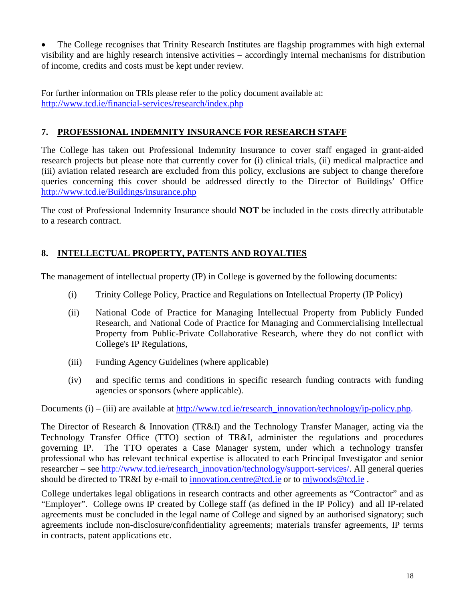• The College recognises that Trinity Research Institutes are flagship programmes with high external visibility and are highly research intensive activities – accordingly internal mechanisms for distribution of income, credits and costs must be kept under review.

For further information on TRIs please refer to the policy document available at: <http://www.tcd.ie/financial-services/research/index.php>

# **7. PROFESSIONAL INDEMNITY INSURANCE FOR RESEARCH STAFF**

The College has taken out Professional Indemnity Insurance to cover staff engaged in grant-aided research projects but please note that currently cover for (i) clinical trials, (ii) medical malpractice and (iii) aviation related research are excluded from this policy, exclusions are subject to change therefore queries concerning this cover should be addressed directly to the Director of Buildings' Office <http://www.tcd.ie/Buildings/insurance.php>

The cost of Professional Indemnity Insurance should **NOT** be included in the costs directly attributable to a research contract.

# **8. INTELLECTUAL PROPERTY, PATENTS AND ROYALTIES**

The management of intellectual property (IP) in College is governed by the following documents:

- (i) Trinity College Policy, Practice and Regulations on Intellectual Property (IP Policy)
- (ii) National Code of Practice for Managing Intellectual Property from Publicly Funded Research, and National Code of Practice for Managing and Commercialising Intellectual Property from Public-Private Collaborative Research, where they do not conflict with College's IP Regulations,
- (iii) Funding Agency Guidelines (where applicable)
- (iv) and specific terms and conditions in specific research funding contracts with funding agencies or sponsors (where applicable).

Documents (i) – (iii) are available at [http://www.tcd.ie/research\\_innovation/technology/ip-policy.php.](http://www.tcd.ie/research_innovation/technology/ip-policy.php)

The Director of Research & Innovation (TR&I) and the Technology Transfer Manager, acting via the Technology Transfer Office (TTO) section of TR&I, administer the regulations and procedures governing IP. The TTO operates a Case Manager system, under which a technology transfer professional who has relevant technical expertise is allocated to each Principal Investigator and senior researcher – see [http://www.tcd.ie/research\\_innovation/technology/support-services/.](http://www.tcd.ie/research_innovation/technology/support-services/) All general queries should be directed to TR&I by e-mail to [innovation.centre@tcd.ie](mailto:innovation.centre@tcd.ie) or to [mjwoods@tcd.ie](mailto:mjwoods@tcd.ie).

College undertakes legal obligations in research contracts and other agreements as "Contractor" and as "Employer". College owns IP created by College staff (as defined in the IP Policy) and all IP-related agreements must be concluded in the legal name of College and signed by an authorised signatory; such agreements include non-disclosure/confidentiality agreements; materials transfer agreements, IP terms in contracts, patent applications etc.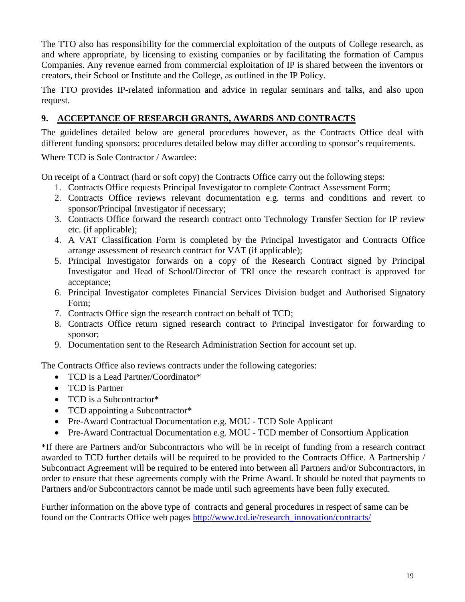The TTO also has responsibility for the commercial exploitation of the outputs of College research, as and where appropriate, by licensing to existing companies or by facilitating the formation of Campus Companies. Any revenue earned from commercial exploitation of IP is shared between the inventors or creators, their School or Institute and the College, as outlined in the IP Policy.

The TTO provides IP-related information and advice in regular seminars and talks, and also upon request.

# **9. ACCEPTANCE OF RESEARCH GRANTS, AWARDS AND CONTRACTS**

The guidelines detailed below are general procedures however, as the Contracts Office deal with different funding sponsors; procedures detailed below may differ according to sponsor's requirements.

Where TCD is Sole Contractor / Awardee:

On receipt of a Contract (hard or soft copy) the Contracts Office carry out the following steps:

- 1. Contracts Office requests Principal Investigator to complete Contract Assessment Form;
- 2. Contracts Office reviews relevant documentation e.g. terms and conditions and revert to sponsor/Principal Investigator if necessary;
- 3. Contracts Office forward the research contract onto Technology Transfer Section for IP review etc. (if applicable);
- 4. A VAT Classification Form is completed by the Principal Investigator and Contracts Office arrange assessment of research contract for VAT (if applicable);
- 5. Principal Investigator forwards on a copy of the Research Contract signed by Principal Investigator and Head of School/Director of TRI once the research contract is approved for acceptance;
- 6. Principal Investigator completes Financial Services Division budget and Authorised Signatory Form;
- 7. Contracts Office sign the research contract on behalf of TCD;
- 8. Contracts Office return signed research contract to Principal Investigator for forwarding to sponsor;
- 9. Documentation sent to the Research Administration Section for account set up.

The Contracts Office also reviews contracts under the following categories:

- TCD is a Lead Partner/Coordinator\*
- TCD is Partner
- TCD is a Subcontractor\*
- TCD appointing a Subcontractor\*
- Pre-Award Contractual Documentation e.g. MOU TCD Sole Applicant
- Pre-Award Contractual Documentation e.g. MOU TCD member of Consortium Application

\*If there are Partners and/or Subcontractors who will be in receipt of funding from a research contract awarded to TCD further details will be required to be provided to the Contracts Office. A Partnership / Subcontract Agreement will be required to be entered into between all Partners and/or Subcontractors, in order to ensure that these agreements comply with the Prime Award. It should be noted that payments to Partners and/or Subcontractors cannot be made until such agreements have been fully executed.

Further information on the above type of contracts and general procedures in respect of same can be found on the Contracts Office web pages [http://www.tcd.ie/research\\_innovation/contracts/](http://www.tcd.ie/research_innovation/contracts/)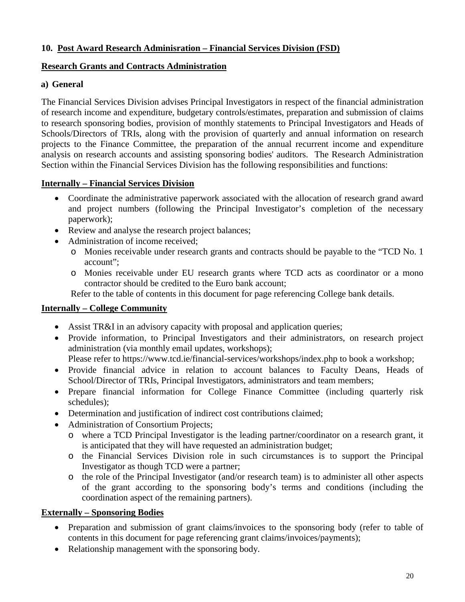## **10. Post Award Research Adminisration – Financial Services Division (FSD)**

#### **Research Grants and Contracts Administration**

#### **a) General**

The Financial Services Division advises Principal Investigators in respect of the financial administration of research income and expenditure, budgetary controls/estimates, preparation and submission of claims to research sponsoring bodies, provision of monthly statements to Principal Investigators and Heads of Schools/Directors of TRIs, along with the provision of quarterly and annual information on research projects to the Finance Committee, the preparation of the annual recurrent income and expenditure analysis on research accounts and assisting sponsoring bodies' auditors. The Research Administration Section within the Financial Services Division has the following responsibilities and functions:

#### **Internally – Financial Services Division**

- Coordinate the administrative paperwork associated with the allocation of research grand award and project numbers (following the Principal Investigator's completion of the necessary paperwork);
- Review and analyse the research project balances;
- Administration of income received;
	- o Monies receivable under research grants and contracts should be payable to the "TCD No. 1 account";
	- o Monies receivable under EU research grants where TCD acts as coordinator or a mono contractor should be credited to the Euro bank account;

Refer to the table of contents in this document for page referencing College bank details.

## **Internally – College Community**

- Assist TR&I in an advisory capacity with proposal and application queries;
- Provide information, to Principal Investigators and their administrators, on research project administration (via monthly email updates, workshops);

Please refer to https://www.tcd.ie/financial-services/workshops/index.php to book a workshop;

- Provide financial advice in relation to account balances to Faculty Deans, Heads of School/Director of TRIs, Principal Investigators, administrators and team members;
- Prepare financial information for College Finance Committee (including quarterly risk schedules);
- Determination and justification of indirect cost contributions claimed;
- Administration of Consortium Projects;
	- o where a TCD Principal Investigator is the leading partner/coordinator on a research grant, it is anticipated that they will have requested an administration budget;
	- o the Financial Services Division role in such circumstances is to support the Principal Investigator as though TCD were a partner;
	- o the role of the Principal Investigator (and/or research team) is to administer all other aspects of the grant according to the sponsoring body's terms and conditions (including the coordination aspect of the remaining partners).

## **Externally – Sponsoring Bodies**

- Preparation and submission of grant claims/invoices to the sponsoring body (refer to table of contents in this document for page referencing grant claims/invoices/payments);
- Relationship management with the sponsoring body.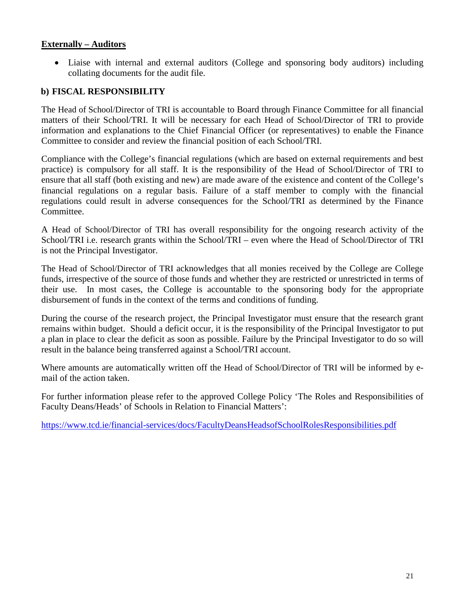#### **Externally – Auditors**

• Liaise with internal and external auditors (College and sponsoring body auditors) including collating documents for the audit file.

#### **b) FISCAL RESPONSIBILITY**

The Head of School/Director of TRI is accountable to Board through Finance Committee for all financial matters of their School/TRI. It will be necessary for each Head of School/Director of TRI to provide information and explanations to the Chief Financial Officer (or representatives) to enable the Finance Committee to consider and review the financial position of each School/TRI.

Compliance with the College's financial regulations (which are based on external requirements and best practice) is compulsory for all staff. It is the responsibility of the Head of School/Director of TRI to ensure that all staff (both existing and new) are made aware of the existence and content of the College's financial regulations on a regular basis. Failure of a staff member to comply with the financial regulations could result in adverse consequences for the School/TRI as determined by the Finance Committee.

A Head of School/Director of TRI has overall responsibility for the ongoing research activity of the School/TRI i.e. research grants within the School/TRI – even where the Head of School/Director of TRI is not the Principal Investigator.

The Head of School/Director of TRI acknowledges that all monies received by the College are College funds, irrespective of the source of those funds and whether they are restricted or unrestricted in terms of their use. In most cases, the College is accountable to the sponsoring body for the appropriate disbursement of funds in the context of the terms and conditions of funding.

During the course of the research project, the Principal Investigator must ensure that the research grant remains within budget. Should a deficit occur, it is the responsibility of the Principal Investigator to put a plan in place to clear the deficit as soon as possible. Failure by the Principal Investigator to do so will result in the balance being transferred against a School/TRI account.

Where amounts are automatically written off the Head of School/Director of TRI will be informed by email of the action taken.

For further information please refer to the approved College Policy 'The Roles and Responsibilities of Faculty Deans/Heads' of Schools in Relation to Financial Matters':

<https://www.tcd.ie/financial-services/docs/FacultyDeansHeadsofSchoolRolesResponsibilities.pdf>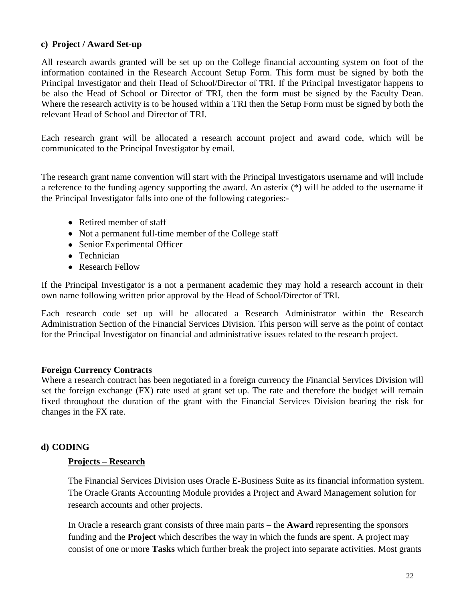#### **c) Project / Award Set-up**

All research awards granted will be set up on the College financial accounting system on foot of the information contained in the Research Account Setup Form. This form must be signed by both the Principal Investigator and their Head of School/Director of TRI. If the Principal Investigator happens to be also the Head of School or Director of TRI, then the form must be signed by the Faculty Dean. Where the research activity is to be housed within a TRI then the Setup Form must be signed by both the relevant Head of School and Director of TRI.

Each research grant will be allocated a research account project and award code, which will be communicated to the Principal Investigator by email.

The research grant name convention will start with the Principal Investigators username and will include a reference to the funding agency supporting the award. An asterix (\*) will be added to the username if the Principal Investigator falls into one of the following categories:-

- Retired member of staff
- Not a permanent full-time member of the College staff
- Senior Experimental Officer
- Technician
- Research Fellow

If the Principal Investigator is a not a permanent academic they may hold a research account in their own name following written prior approval by the Head of School/Director of TRI.

Each research code set up will be allocated a Research Administrator within the Research Administration Section of the Financial Services Division. This person will serve as the point of contact for the Principal Investigator on financial and administrative issues related to the research project.

#### **Foreign Currency Contracts**

Where a research contract has been negotiated in a foreign currency the Financial Services Division will set the foreign exchange (FX) rate used at grant set up. The rate and therefore the budget will remain fixed throughout the duration of the grant with the Financial Services Division bearing the risk for changes in the FX rate.

## **d) CODING**

#### **Projects – Research**

The Financial Services Division uses Oracle E-Business Suite as its financial information system. The Oracle Grants Accounting Module provides a Project and Award Management solution for research accounts and other projects.

In Oracle a research grant consists of three main parts – the **Award** representing the sponsors funding and the **Project** which describes the way in which the funds are spent. A project may consist of one or more **Tasks** which further break the project into separate activities. Most grants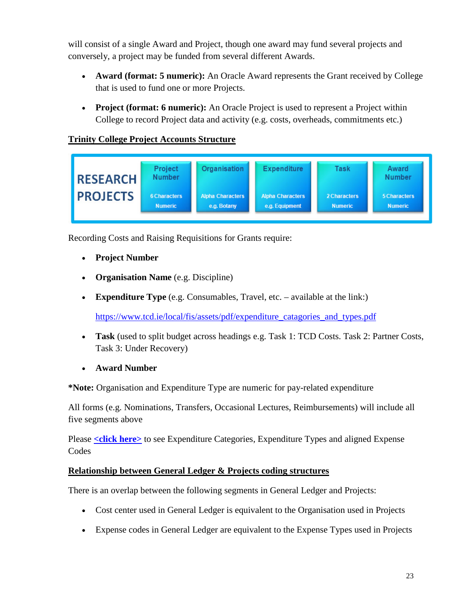will consist of a single Award and Project, though one award may fund several projects and conversely, a project may be funded from several different Awards.

- **Award (format: 5 numeric):** An Oracle Award represents the Grant received by College that is used to fund one or more Projects.
- **Project (format: 6 numeric):** An Oracle Project is used to represent a Project within College to record Project data and activity (e.g. costs, overheads, commitments etc.)

# **Trinity College Project Accounts Structure**



Recording Costs and Raising Requisitions for Grants require:

- **Project Number**
- **Organisation Name** (e.g. Discipline)
- **Expenditure Type** (e.g. Consumables, Travel, etc. available at the link:)

[https://www.tcd.ie/local/fis/assets/pdf/expenditure\\_catagories\\_and\\_types.pdf](https://www.tcd.ie/local/fis/assets/pdf/expenditure_catagories_and_types.pdf)

- **Task** (used to split budget across headings e.g. Task 1: TCD Costs. Task 2: Partner Costs, Task 3: Under Recovery)
- **Award Number**

**\*Note:** Organisation and Expenditure Type are numeric for pay-related expenditure

All forms (e.g. Nominations, Transfers, Occasional Lectures, Reimbursements) will include all five segments above

Please [<click here>](https://www.tcd.ie/local/fis/assets/pdf/expenditure_catagories_and_types.pdf) to see Expenditure Categories, Expenditure Types and aligned Expense **Codes** 

## **Relationship between General Ledger & Projects coding structures**

There is an overlap between the following segments in General Ledger and Projects:

- Cost center used in General Ledger is equivalent to the Organisation used in Projects
- Expense codes in General Ledger are equivalent to the Expense Types used in Projects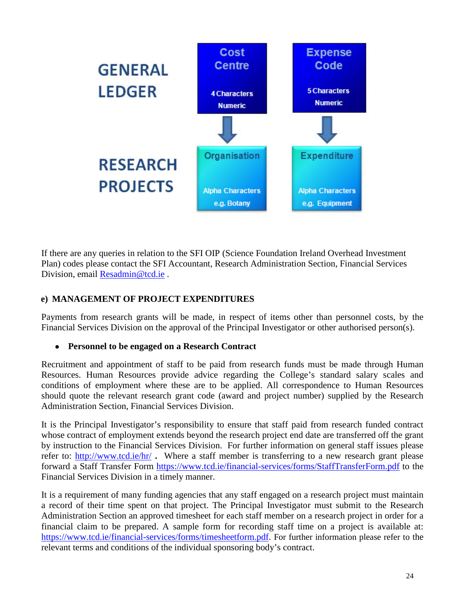

If there are any queries in relation to the SFI OIP (Science Foundation Ireland Overhead Investment Plan) codes please contact the SFI Accountant, Research Administration Section, Financial Services Division, email [Resadmin@tcd.ie](mailto:Resadmin@tcd.ie) .

# **e) MANAGEMENT OF PROJECT EXPENDITURES**

Payments from research grants will be made, in respect of items other than personnel costs, by the Financial Services Division on the approval of the Principal Investigator or other authorised person(s).

# • **Personnel to be engaged on a Research Contract**

Recruitment and appointment of staff to be paid from research funds must be made through Human Resources. Human Resources provide advice regarding the College's standard salary scales and conditions of employment where these are to be applied. All correspondence to Human Resources should quote the relevant research grant code (award and project number) supplied by the Research Administration Section, Financial Services Division.

It is the Principal Investigator's responsibility to ensure that staff paid from research funded contract whose contract of employment extends beyond the research project end date are transferred off the grant by instruction to the Financial Services Division. For further information on general staff issues please refer to:<http://www.tcd.ie/hr/> **.** Where a staff member is transferring to a new research grant please forward a Staff Transfer Form<https://www.tcd.ie/financial-services/forms/StaffTransferForm.pdf> to the Financial Services Division in a timely manner.

It is a requirement of many funding agencies that any staff engaged on a research project must maintain a record of their time spent on that project. The Principal Investigator must submit to the Research Administration Section an approved timesheet for each staff member on a research project in order for a financial claim to be prepared. A sample form for recording staff time on a project is available at: [https://www.tcd.ie/financial-services/forms/timesheetform.pdf.](https://www.tcd.ie/financial-services/forms/timesheetform.pdf) For further information please refer to the relevant terms and conditions of the individual sponsoring body's contract.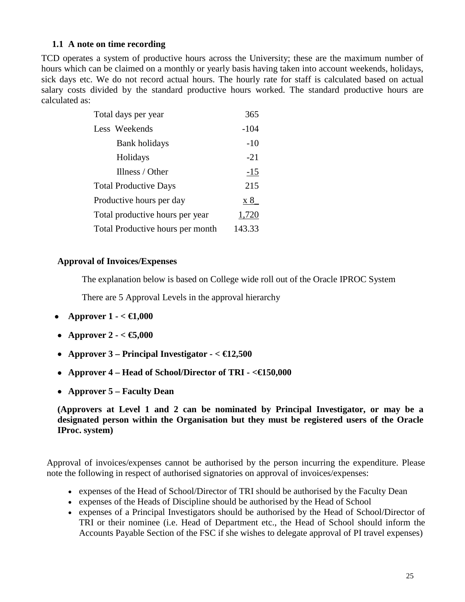## **1.1 A note on time recording**

TCD operates a system of productive hours across the University; these are the maximum number of hours which can be claimed on a monthly or yearly basis having taken into account weekends, holidays, sick days etc. We do not record actual hours. The hourly rate for staff is calculated based on actual salary costs divided by the standard productive hours worked. The standard productive hours are calculated as:

| Total days per year              | 365    |
|----------------------------------|--------|
| Less Weekends                    | -104   |
| Bank holidays                    | -10    |
| Holidays                         | $-21$  |
| Illness / Other                  | $-15$  |
| <b>Total Productive Days</b>     | 215    |
| Productive hours per day         | x8     |
| Total productive hours per year  | 1,720  |
| Total Productive hours per month | 143.33 |

#### **Approval of Invoices/Expenses**

The explanation below is based on College wide roll out of the Oracle IPROC System

There are 5 Approval Levels in the approval hierarchy

- **Approver 1 - < €1,000**
- **Approver 2**  $\leq$   $\leq$  5,000
- **Approver 3 – Principal Investigator - < €12,500**
- **Approver 4 – Head of School/Director of TRI - <€150,000**
- **Approver 5 – Faculty Dean**

**(Approvers at Level 1 and 2 can be nominated by Principal Investigator, or may be a designated person within the Organisation but they must be registered users of the Oracle IProc. system)**

Approval of invoices/expenses cannot be authorised by the person incurring the expenditure. Please note the following in respect of authorised signatories on approval of invoices/expenses:

- expenses of the Head of School/Director of TRI should be authorised by the Faculty Dean
- expenses of the Heads of Discipline should be authorised by the Head of School
- expenses of a Principal Investigators should be authorised by the Head of School/Director of TRI or their nominee (i.e. Head of Department etc., the Head of School should inform the Accounts Payable Section of the FSC if she wishes to delegate approval of PI travel expenses)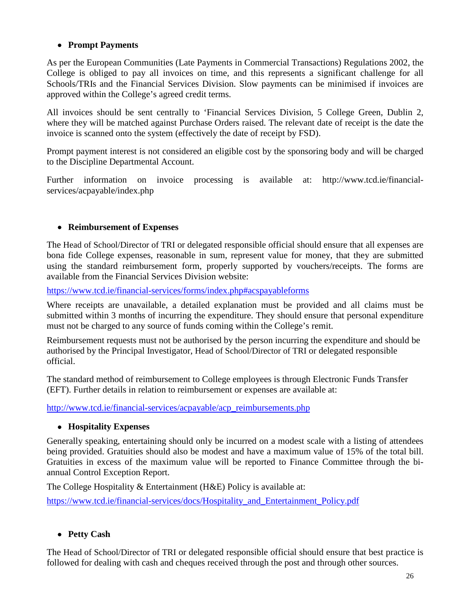# • **Prompt Payments**

As per the European Communities (Late Payments in Commercial Transactions) Regulations 2002, the College is obliged to pay all invoices on time, and this represents a significant challenge for all Schools/TRIs and the Financial Services Division. Slow payments can be minimised if invoices are approved within the College's agreed credit terms.

All invoices should be sent centrally to 'Financial Services Division, 5 College Green, Dublin 2, where they will be matched against Purchase Orders raised. The relevant date of receipt is the date the invoice is scanned onto the system (effectively the date of receipt by FSD).

Prompt payment interest is not considered an eligible cost by the sponsoring body and will be charged to the Discipline Departmental Account.

Further information on invoice processing is available at: http://www.tcd.ie/financialservices/acpayable/index.php

## • **Reimbursement of Expenses**

The Head of School/Director of TRI or delegated responsible official should ensure that all expenses are bona fide College expenses, reasonable in sum, represent value for money, that they are submitted using the standard reimbursement form, properly supported by vouchers/receipts. The forms are available from the Financial Services Division website:

<https://www.tcd.ie/financial-services/forms/index.php#acspayableforms>

Where receipts are unavailable, a detailed explanation must be provided and all claims must be submitted within 3 months of incurring the expenditure. They should ensure that personal expenditure must not be charged to any source of funds coming within the College's remit.

Reimbursement requests must not be authorised by the person incurring the expenditure and should be authorised by the Principal Investigator, Head of School/Director of TRI or delegated responsible official.

The standard method of reimbursement to College employees is through Electronic Funds Transfer (EFT). Further details in relation to reimbursement or expenses are available at:

[http://www.tcd.ie/financial-services/acpayable/acp\\_reimbursements.php](http://www.tcd.ie/financial-services/acpayable/acp_reimbursements.php)

## • **Hospitality Expenses**

Generally speaking, entertaining should only be incurred on a modest scale with a listing of attendees being provided. Gratuities should also be modest and have a maximum value of 15% of the total bill. Gratuities in excess of the maximum value will be reported to Finance Committee through the biannual Control Exception Report.

The College Hospitality & Entertainment (H&E) Policy is available at:

[https://www.tcd.ie/financial-services/docs/Hospitality\\_and\\_Entertainment\\_Policy.pdf](https://www.tcd.ie/financial-services/docs/Hospitality_and_Entertainment_Policy.pdf)

# • **Petty Cash**

The Head of School/Director of TRI or delegated responsible official should ensure that best practice is followed for dealing with cash and cheques received through the post and through other sources.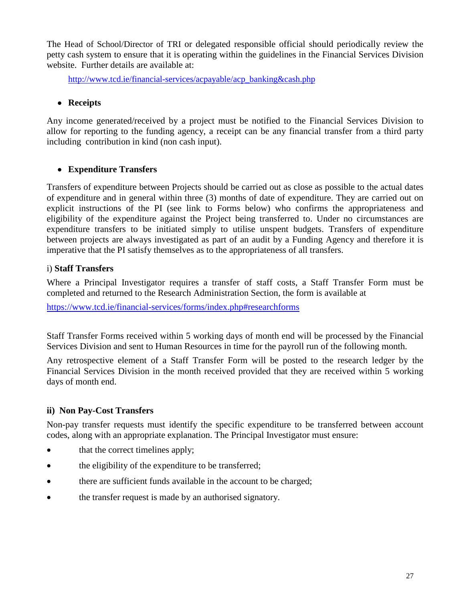The Head of School/Director of TRI or delegated responsible official should periodically review the petty cash system to ensure that it is operating within the guidelines in the Financial Services Division website. Further details are available at:

[http://www.tcd.ie/financial-services/acpayable/acp\\_banking&cash.php](http://www.tcd.ie/financial-services/acpayable/acp_banking&cash.php)

## • **Receipts**

Any income generated/received by a project must be notified to the Financial Services Division to allow for reporting to the funding agency, a receipt can be any financial transfer from a third party including contribution in kind (non cash input).

# • **Expenditure Transfers**

Transfers of expenditure between Projects should be carried out as close as possible to the actual dates of expenditure and in general within three (3) months of date of expenditure. They are carried out on explicit instructions of the PI (see link to Forms below) who confirms the appropriateness and eligibility of the expenditure against the Project being transferred to. Under no circumstances are expenditure transfers to be initiated simply to utilise unspent budgets. Transfers of expenditure between projects are always investigated as part of an audit by a Funding Agency and therefore it is imperative that the PI satisfy themselves as to the appropriateness of all transfers.

## i) **Staff Transfers**

Where a Principal Investigator requires a transfer of staff costs, a Staff Transfer Form must be completed and returned to the Research Administration Section, the form is available at

<https://www.tcd.ie/financial-services/forms/index.php#researchforms>

Staff Transfer Forms received within 5 working days of month end will be processed by the Financial Services Division and sent to Human Resources in time for the payroll run of the following month.

Any retrospective element of a Staff Transfer Form will be posted to the research ledger by the Financial Services Division in the month received provided that they are received within 5 working days of month end.

# **ii) Non Pay-Cost Transfers**

Non-pay transfer requests must identify the specific expenditure to be transferred between account codes, along with an appropriate explanation. The Principal Investigator must ensure:

- that the correct timelines apply;
- the eligibility of the expenditure to be transferred;
- there are sufficient funds available in the account to be charged;
- the transfer request is made by an authorised signatory.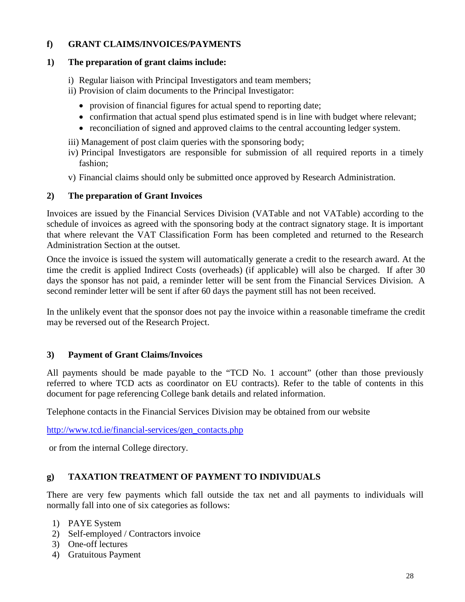## **f) GRANT CLAIMS/INVOICES/PAYMENTS**

#### **1) The preparation of grant claims include:**

- i) Regular liaison with Principal Investigators and team members;
- ii) Provision of claim documents to the Principal Investigator:
	- provision of financial figures for actual spend to reporting date;
	- confirmation that actual spend plus estimated spend is in line with budget where relevant;
	- reconciliation of signed and approved claims to the central accounting ledger system.
- iii) Management of post claim queries with the sponsoring body;
- iv) Principal Investigators are responsible for submission of all required reports in a timely fashion;
- v) Financial claims should only be submitted once approved by Research Administration.

#### **2) The preparation of Grant Invoices**

Invoices are issued by the Financial Services Division (VATable and not VATable) according to the schedule of invoices as agreed with the sponsoring body at the contract signatory stage. It is important that where relevant the VAT Classification Form has been completed and returned to the Research Administration Section at the outset.

Once the invoice is issued the system will automatically generate a credit to the research award. At the time the credit is applied Indirect Costs (overheads) (if applicable) will also be charged. If after 30 days the sponsor has not paid, a reminder letter will be sent from the Financial Services Division. A second reminder letter will be sent if after 60 days the payment still has not been received.

In the unlikely event that the sponsor does not pay the invoice within a reasonable timeframe the credit may be reversed out of the Research Project.

## **3) Payment of Grant Claims/Invoices**

All payments should be made payable to the "TCD No. 1 account" (other than those previously referred to where TCD acts as coordinator on EU contracts). Refer to the table of contents in this document for page referencing College bank details and related information.

Telephone contacts in the Financial Services Division may be obtained from our website

[http://www.tcd.ie/financial-services/gen\\_contacts.php](http://www.tcd.ie/financial-services/gen_contacts.php)

or from the internal College directory.

## **g) TAXATION TREATMENT OF PAYMENT TO INDIVIDUALS**

There are very few payments which fall outside the tax net and all payments to individuals will normally fall into one of six categories as follows:

- 1) PAYE System
- 2) Self-employed / Contractors invoice
- 3) One-off lectures
- 4) Gratuitous Payment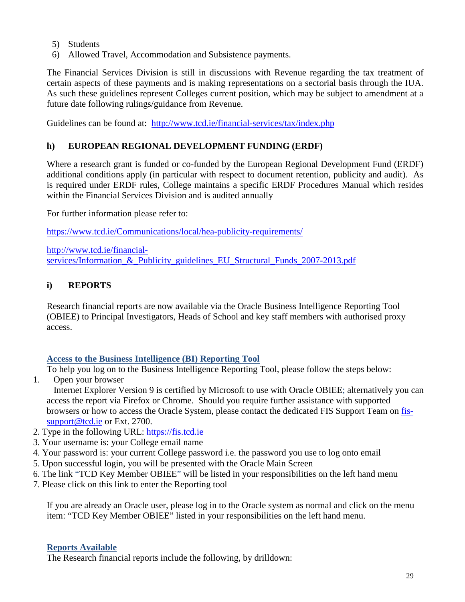- 5) Students
- 6) Allowed Travel, Accommodation and Subsistence payments.

The Financial Services Division is still in discussions with Revenue regarding the tax treatment of certain aspects of these payments and is making representations on a sectorial basis through the IUA. As such these guidelines represent Colleges current position, which may be subject to amendment at a future date following rulings/guidance from Revenue.

Guidelines can be found at: <http://www.tcd.ie/financial-services/tax/index.php>

# **h) EUROPEAN REGIONAL DEVELOPMENT FUNDING (ERDF)**

Where a research grant is funded or co-funded by the European Regional Development Fund (ERDF) additional conditions apply (in particular with respect to document retention, publicity and audit). As is required under ERDF rules, College maintains a specific ERDF Procedures Manual which resides within the Financial Services Division and is audited annually

For further information please refer to:

<https://www.tcd.ie/Communications/local/hea-publicity-requirements/>

[http://www.tcd.ie/financial](http://www.tcd.ie/financial-services/Information_&_Publicity_guidelines_EU_Structural_Funds_2007-2013.pdf)services/Information & Publicity guidelines EU Structural Funds 2007-2013.pdf

## **i) REPORTS**

Research financial reports are now available via the Oracle Business Intelligence Reporting Tool (OBIEE) to Principal Investigators, Heads of School and key staff members with authorised proxy access.

## **Access to the Business Intelligence (BI) Reporting Tool**

To help you log on to the Business Intelligence Reporting Tool, please follow the steps below:

1. Open your browser Internet Explorer Version 9 is certified by Microsoft to use with Oracle OBIEE; alternatively you can access the report via Firefox or Chrome. Should you require further assistance with supported

browsers or how to access the Oracle System, please contact the dedicated FIS Support Team on [fis](mailto:fis-support@tcd.ie)[support@tcd.ie](mailto:fis-support@tcd.ie) or Ext. 2700.

- 2. Type in the following URL: [https://fis.tcd.ie](https://fis.tcd.ie/)
- 3. Your username is: your College email name
- 4. Your password is: your current College password i.e. the password you use to log onto email
- 5. Upon successful login, you will be presented with the Oracle Main Screen
- 6. The link "TCD Key Member OBIEE" will be listed in your responsibilities on the left hand menu
- 7. Please click on this link to enter the Reporting tool

If you are already an Oracle user, please log in to the Oracle system as normal and click on the menu item: "TCD Key Member OBIEE" listed in your responsibilities on the left hand menu.

## **Reports Available**

The Research financial reports include the following, by drilldown: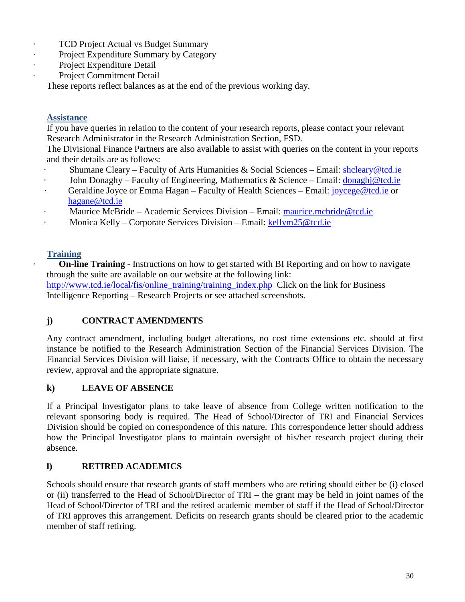- · TCD Project Actual vs Budget Summary
- · Project Expenditure Summary by Category
- · Project Expenditure Detail
	- Project Commitment Detail

These reports reflect balances as at the end of the previous working day.

## **Assistance**

If you have queries in relation to the content of your research reports, please contact your relevant Research Administrator in the Research Administration Section, FSD.

The Divisional Finance Partners are also available to assist with queries on the content in your reports and their details are as follows:

- · Shumane Cleary Faculty of Arts Humanities & Social Sciences Email: [shcleary@tcd.ie](mailto:shcleary@tcd.ie)
- John Donaghy Faculty of Engineering, Mathematics & Science Email:  $\frac{\text{domain}(\mathcal{Q}_t)}{\text{domain}(\mathcal{Q}_t)}$
- · Geraldine Joyce or Emma Hagan Faculty of Health Sciences Email: [joycege@tcd.ie](mailto:joycege@tcd.ie) or [hagane@tcd.ie](mailto:hagane@tcd.ie)
- Maurice McBride Academic Services Division Email: [maurice.mcbride@tcd.ie](mailto:maurice.mcbride@tcd.ie)
- · Monica Kelly Corporate Services Division Email: [kellym25@tcd.ie](mailto:kellym25@tcd.ie)

# **Training**

**On-line Training** - Instructions on how to get started with BI Reporting and on how to navigate through the suite are available on our website at the following link: [http://www.tcd.ie/local/fis/online\\_training/training\\_index.php](http://www.tcd.ie/local/fis/online_training/training_index.php) Click on the link for Business Intelligence Reporting – Research Projects or see attached screenshots.

# **j) CONTRACT AMENDMENTS**

Any contract amendment, including budget alterations, no cost time extensions etc. should at first instance be notified to the Research Administration Section of the Financial Services Division. The Financial Services Division will liaise, if necessary, with the Contracts Office to obtain the necessary review, approval and the appropriate signature.

# **k) LEAVE OF ABSENCE**

If a Principal Investigator plans to take leave of absence from College written notification to the relevant sponsoring body is required. The Head of School/Director of TRI and Financial Services Division should be copied on correspondence of this nature. This correspondence letter should address how the Principal Investigator plans to maintain oversight of his/her research project during their absence.

# **l) RETIRED ACADEMICS**

Schools should ensure that research grants of staff members who are retiring should either be (i) closed or (ii) transferred to the Head of School/Director of TRI – the grant may be held in joint names of the Head of School/Director of TRI and the retired academic member of staff if the Head of School/Director of TRI approves this arrangement. Deficits on research grants should be cleared prior to the academic member of staff retiring.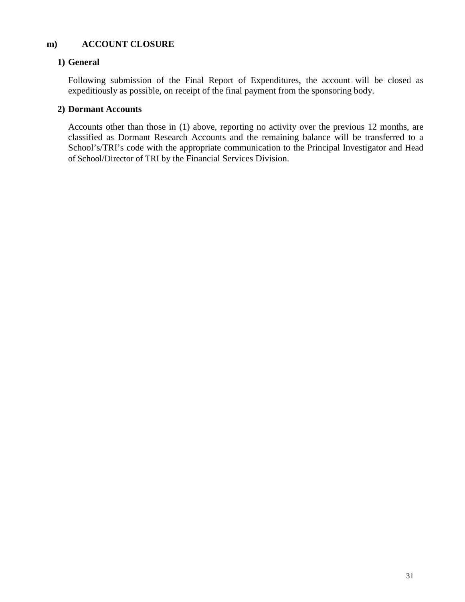#### **m) ACCOUNT CLOSURE**

#### **1) General**

Following submission of the Final Report of Expenditures, the account will be closed as expeditiously as possible, on receipt of the final payment from the sponsoring body.

#### **2) Dormant Accounts**

Accounts other than those in (1) above, reporting no activity over the previous 12 months, are classified as Dormant Research Accounts and the remaining balance will be transferred to a School's/TRI's code with the appropriate communication to the Principal Investigator and Head of School/Director of TRI by the Financial Services Division.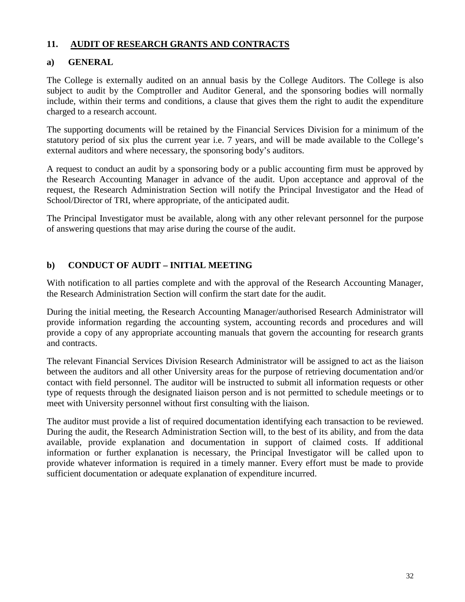## **11. AUDIT OF RESEARCH GRANTS AND CONTRACTS**

## **a) GENERAL**

The College is externally audited on an annual basis by the College Auditors. The College is also subject to audit by the Comptroller and Auditor General, and the sponsoring bodies will normally include, within their terms and conditions, a clause that gives them the right to audit the expenditure charged to a research account.

The supporting documents will be retained by the Financial Services Division for a minimum of the statutory period of six plus the current year i.e. 7 years, and will be made available to the College's external auditors and where necessary, the sponsoring body's auditors.

A request to conduct an audit by a sponsoring body or a public accounting firm must be approved by the Research Accounting Manager in advance of the audit. Upon acceptance and approval of the request, the Research Administration Section will notify the Principal Investigator and the Head of School/Director of TRI, where appropriate, of the anticipated audit.

The Principal Investigator must be available, along with any other relevant personnel for the purpose of answering questions that may arise during the course of the audit.

## **b) CONDUCT OF AUDIT – INITIAL MEETING**

With notification to all parties complete and with the approval of the Research Accounting Manager, the Research Administration Section will confirm the start date for the audit.

During the initial meeting, the Research Accounting Manager/authorised Research Administrator will provide information regarding the accounting system, accounting records and procedures and will provide a copy of any appropriate accounting manuals that govern the accounting for research grants and contracts.

The relevant Financial Services Division Research Administrator will be assigned to act as the liaison between the auditors and all other University areas for the purpose of retrieving documentation and/or contact with field personnel. The auditor will be instructed to submit all information requests or other type of requests through the designated liaison person and is not permitted to schedule meetings or to meet with University personnel without first consulting with the liaison.

The auditor must provide a list of required documentation identifying each transaction to be reviewed. During the audit, the Research Administration Section will, to the best of its ability, and from the data available, provide explanation and documentation in support of claimed costs. If additional information or further explanation is necessary, the Principal Investigator will be called upon to provide whatever information is required in a timely manner. Every effort must be made to provide sufficient documentation or adequate explanation of expenditure incurred.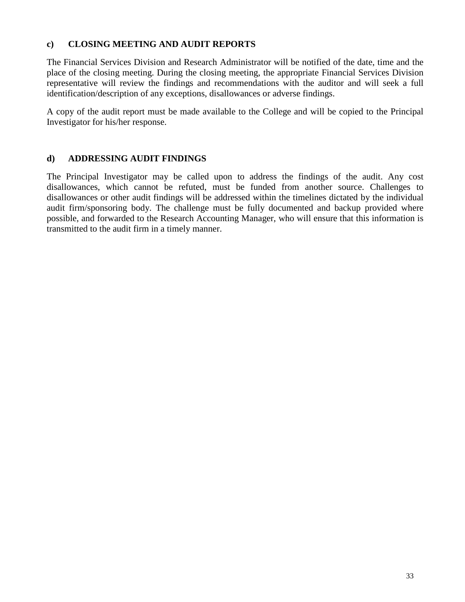#### **c) CLOSING MEETING AND AUDIT REPORTS**

The Financial Services Division and Research Administrator will be notified of the date, time and the place of the closing meeting. During the closing meeting, the appropriate Financial Services Division representative will review the findings and recommendations with the auditor and will seek a full identification/description of any exceptions, disallowances or adverse findings.

A copy of the audit report must be made available to the College and will be copied to the Principal Investigator for his/her response.

## **d) ADDRESSING AUDIT FINDINGS**

The Principal Investigator may be called upon to address the findings of the audit. Any cost disallowances, which cannot be refuted, must be funded from another source. Challenges to disallowances or other audit findings will be addressed within the timelines dictated by the individual audit firm/sponsoring body. The challenge must be fully documented and backup provided where possible, and forwarded to the Research Accounting Manager, who will ensure that this information is transmitted to the audit firm in a timely manner.